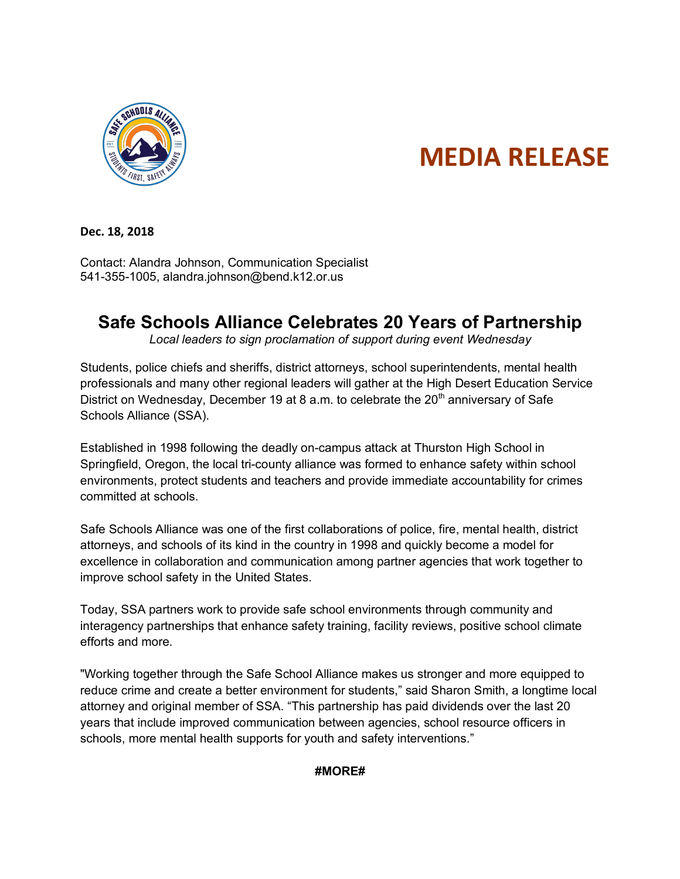

## **MEDIA RELEASE**

**Dec. 18, 2018**

Contact: Alandra Johnson, Communication Specialist 541-355-1005, alandra.johnson@bend.k12.or.us

## **Safe Schools Alliance Celebrates 20 Years of Partnership**

*Local leaders to sign proclamation of support during event Wednesday* 

Students, police chiefs and sheriffs, district attorneys, school superintendents, mental health professionals and many other regional leaders will gather at the High Desert Education Service District on Wednesday, December 19 at 8 a.m. to celebrate the  $20<sup>th</sup>$  anniversary of Safe Schools Alliance (SSA).

Established in 1998 following the deadly on-campus attack at Thurston High School in Springfield, Oregon, the local tri-county alliance was formed to enhance safety within school environments, protect students and teachers and provide immediate accountability for crimes committed at schools.

Safe Schools Alliance was one of the first collaborations of police, fire, mental health, district attorneys, and schools of its kind in the country in 1998 and quickly become a model for excellence in collaboration and communication among partner agencies that work together to improve school safety in the United States.

Today, SSA partners work to provide safe school environments through community and interagency partnerships that enhance safety training, facility reviews, positive school climate efforts and more.

"Working together through the Safe School Alliance makes us stronger and more equipped to reduce crime and create a better environment for students," said Sharon Smith, a longtime local attorney and original member of SSA. "This partnership has paid dividends over the last 20 years that include improved communication between agencies, school resource officers in schools, more mental health supports for youth and safety interventions."

## **#MORE#**